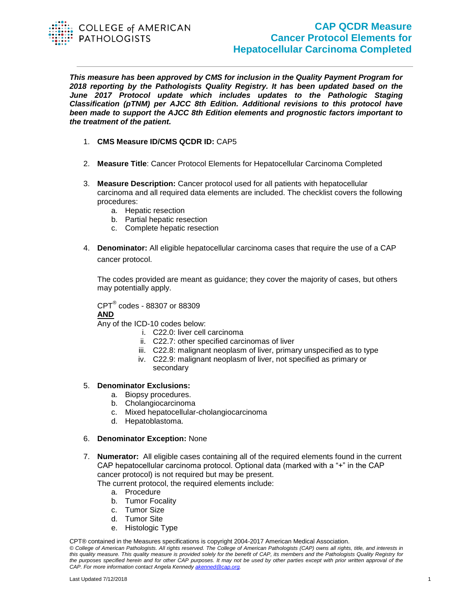

## **CAP QCDR Measure Cancer Protocol Elements for Hepatocellular Carcinoma Completed**

*This measure has been approved by CMS for inclusion in the Quality Payment Program for 2018 reporting by the Pathologists Quality Registry. It has been updated based on the June 2017 Protocol update which includes updates to the Pathologic Staging Classification (pTNM) per AJCC 8th Edition. Additional revisions to this protocol have been made to support the AJCC 8th Edition elements and prognostic factors important to the treatment of the patient.*

- 1. **CMS Measure ID/CMS QCDR ID:** CAP5
- 2. **Measure Title**: Cancer Protocol Elements for Hepatocellular Carcinoma Completed
- 3. **Measure Description:** Cancer protocol used for all patients with hepatocellular carcinoma and all required data elements are included. The checklist covers the following procedures:
	- a. Hepatic resection
	- b. Partial hepatic resection
	- c. Complete hepatic resection
- 4. **Denominator:** All eligible hepatocellular carcinoma cases that require the use of a CAP cancer protocol.

The codes provided are meant as guidance; they cover the majority of cases, but others may potentially apply.

 $CPT^{\circledast}$  codes - 88307 or 88309 **AND** 

Any of the ICD-10 codes below:

- i. C22.0: liver cell carcinoma
- ii. C22.7: other specified carcinomas of liver
- iii. C22.8: malignant neoplasm of liver, primary unspecified as to type
- iv. C22.9: malignant neoplasm of liver, not specified as primary or secondary

## 5. **Denominator Exclusions:**

- a. Biopsy procedures.
- b. Cholangiocarcinoma
- c. Mixed hepatocellular-cholangiocarcinoma
- d. Hepatoblastoma.

## 6. **Denominator Exception:** None

7. **Numerator:** All eligible cases containing all of the required elements found in the current CAP hepatocellular carcinoma protocol. Optional data (marked with a "+" in the CAP cancer protocol) is not required but may be present.

The current protocol, the required elements include:

- a. Procedure
- b. Tumor Focality
- c. Tumor Size
- d. Tumor Site
- e. Histologic Type

CPT® contained in the Measures specifications is copyright 2004-2017 American Medical Association.

*© College of American Pathologists. All rights reserved. The College of American Pathologists (CAP) owns all rights, title, and interests in this quality measure. This quality measure is provided solely for the benefit of CAP, its members and the Pathologists Quality Registry for the purposes specified herein and for other CAP purposes. It may not be used by other parties except with prior written approval of the CAP. For more information contact Angela Kennedy [akenned@cap.org.](mailto:akenned@cap.org)*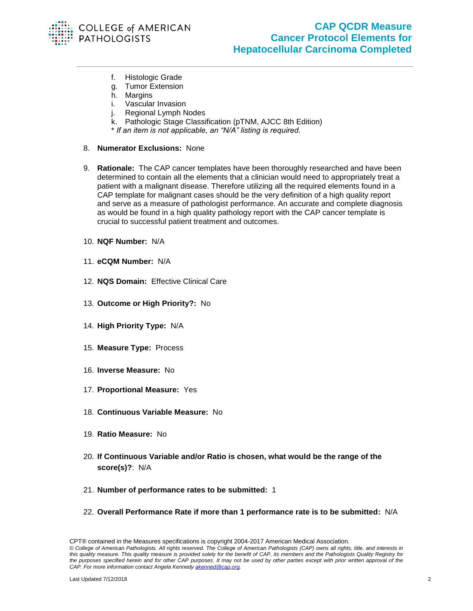

- f. Histologic Grade
- g. Tumor Extension
- h. Margins
- i. Vascular Invasion
- j. Regional Lymph Nodes
- k. Pathologic Stage Classification (pTNM, AJCC 8th Edition)
- \* *If an item is not applicable, an "N/A" listing is required.*
- 8. **Numerator Exclusions:** None
- 9. **Rationale:** The CAP cancer templates have been thoroughly researched and have been determined to contain all the elements that a clinician would need to appropriately treat a patient with a malignant disease. Therefore utilizing all the required elements found in a CAP template for malignant cases should be the very definition of a high quality report and serve as a measure of pathologist performance. An accurate and complete diagnosis as would be found in a high quality pathology report with the CAP cancer template is crucial to successful patient treatment and outcomes.
- 10. **NQF Number:** N/A
- 11. **eCQM Number:** N/A
- 12. **NQS Domain:** Effective Clinical Care
- 13. **Outcome or High Priority?:** No
- 14. **High Priority Type:** N/A
- 15. **Measure Type:** Process
- 16. **Inverse Measure:** No
- 17. **Proportional Measure:** Yes
- 18. **Continuous Variable Measure:** No
- 19. **Ratio Measure:** No
- 20. **If Continuous Variable and/or Ratio is chosen, what would be the range of the score(s)?**: N/A
- 21. **Number of performance rates to be submitted:** 1
- 22. **Overall Performance Rate if more than 1 performance rate is to be submitted:** N/A

CPT® contained in the Measures specifications is copyright 2004-2017 American Medical Association. *© College of American Pathologists. All rights reserved. The College of American Pathologists (CAP) owns all rights, title, and interests in this quality measure. This quality measure is provided solely for the benefit of CAP, its members and the Pathologists Quality Registry for the purposes specified herein and for other CAP purposes. It may not be used by other parties except with prior written approval of the CAP. For more information contact Angela Kennedy [akenned@cap.org.](mailto:akenned@cap.org)*